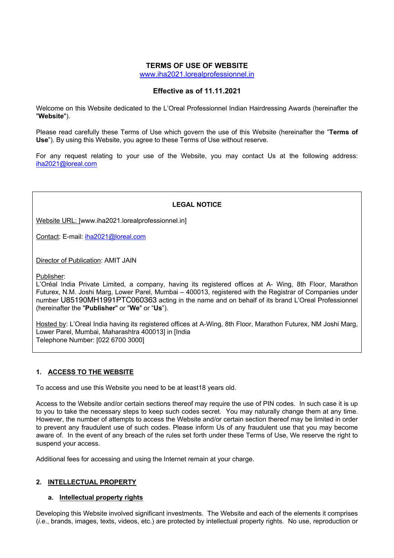## **TERMS OF USE OF WEBSITE**

www.iha2021.lorealprofessionnel.in

## **Effective as of 11.11.2021**

Welcome on this Website dedicated to the L'Oreal Professionnel Indian Hairdressing Awards (hereinafter the "**Website**").

Please read carefully these Terms of Use which govern the use of this Website (hereinafter the "**Terms of Use**"). By using this Website, you agree to these Terms of Use without reserve.

For any request relating to your use of the Website, you may contact Us at the following address: iha2021@loreal.com

## **LEGAL NOTICE**

Website URL: [www.iha2021.lorealprofessionnel.in]

Contact: E-mail: iha2021@loreal.com

Director of Publication: AMIT JAIN

Publisher:

L'Oréal India Private Limited, a company, having its registered offices at A- Wing, 8th Floor, Marathon Futurex, N.M. Joshi Marg, Lower Parel, Mumbai – 400013, registered with the Registrar of Companies under number U85190MH1991PTC060363 acting in the name and on behalf of its brand L'Oreal Professionnel (hereinafter the "**Publisher**" or "**We**" or "**Us**").

Hosted by: L'Oreal India having its registered offices at A-Wing, 8th Floor, Marathon Futurex, NM Joshi Marg, Lower Parel, Mumbai, Maharashtra 400013] in [India Telephone Number: [022 6700 3000]

## **1. ACCESS TO THE WEBSITE**

To access and use this Website you need to be at least18 years old.

Access to the Website and/or certain sections thereof may require the use of PIN codes. In such case it is up to you to take the necessary steps to keep such codes secret. You may naturally change them at any time. However, the number of attempts to access the Website and/or certain section thereof may be limited in order to prevent any fraudulent use of such codes. Please inform Us of any fraudulent use that you may become aware of. In the event of any breach of the rules set forth under these Terms of Use, We reserve the right to suspend your access.

Additional fees for accessing and using the Internet remain at your charge.

## **2. INTELLECTUAL PROPERTY**

## **a. Intellectual property rights**

Developing this Website involved significant investments. The Website and each of the elements it comprises (*i.e*., brands, images, texts, videos, etc.) are protected by intellectual property rights. No use, reproduction or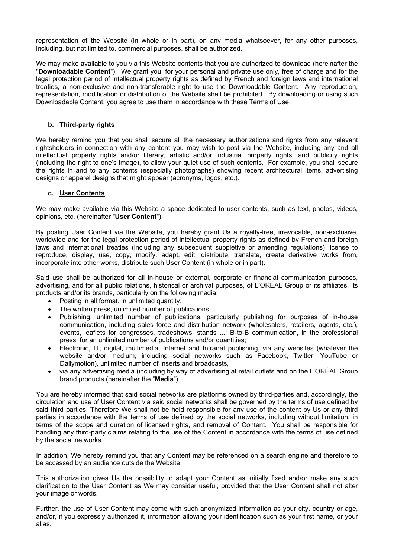representation of the Website (in whole or in part), on any media whatsoever, for any other purposes, including, but not limited to, commercial purposes, shall be authorized.

We may make available to you via this Website contents that you are authorized to download (hereinafter the "**Downloadable Content**"). We grant you, for your personal and private use only, free of charge and for the legal protection period of intellectual property rights as defined by French and foreign laws and international treaties, a non-exclusive and non-transferable right to use the Downloadable Content. Any reproduction, representation, modification or distribution of the Website shall be prohibited. By downloading or using such Downloadable Content, you agree to use them in accordance with these Terms of Use.

### **b. Third-party rights**

We hereby remind you that you shall secure all the necessary authorizations and rights from any relevant rightsholders in connection with any content you may wish to post via the Website, including any and all intellectual property rights and/or literary, artistic and/or industrial property rights, and publicity rights (including the right to one's image), to allow your quiet use of such contents. For example, you shall secure the rights in and to any contents (especially photographs) showing recent architectural items, advertising designs or apparel designs that might appear (acronyms, logos, etc.).

#### **c. User Contents**

We may make available via this Website a space dedicated to user contents, such as text, photos, videos, opinions, etc. (hereinafter "**User Content**").

By posting User Content via the Website, you hereby grant Us a royalty-free, irrevocable, non-exclusive, worldwide and for the legal protection period of intellectual property rights as defined by French and foreign laws and international treaties (including any subsequent suppletive or amending regulations) license to reproduce, display, use, copy, modify, adapt, edit, distribute, translate, create derivative works from, incorporate into other works, distribute such User Content (in whole or in part).

Said use shall be authorized for all in-house or external, corporate or financial communication purposes, advertising, and for all public relations, historical or archival purposes, of L'ORÉAL Group or its affiliates, its products and/or its brands, particularly on the following media:

- Posting in all format, in unlimited quantity,
- The written press, unlimited number of publications,
- Publishing, unlimited number of publications, particularly publishing for purposes of in-house communication, including sales force and distribution network (wholesalers, retailers, agents, etc.), events, leaflets for congresses, tradeshows, stands ...; B-to-B communication, in the professional press, for an unlimited number of publications and/or quantities;
- Electronic, IT, digital, multimedia, Internet and Intranet publishing, via any websites (whatever the website and/or medium, including social networks such as Facebook, Twitter, YouTube or Dailymotion), unlimited number of inserts and broadcasts,
- via any advertising media (including by way of advertising at retail outlets and on the L'ORÉAL Group brand products (hereinafter the "**Media**").

You are hereby informed that said social networks are platforms owned by third-parties and, accordingly, the circulation and use of User Content via said social networks shall be governed by the terms of use defined by said third parties. Therefore We shall not be held responsible for any use of the content by Us or any third parties in accordance with the terms of use defined by the social networks, including without limitation, in terms of the scope and duration of licensed rights, and removal of Content. You shall be responsible for handling any third-party claims relating to the use of the Content in accordance with the terms of use defined by the social networks.

In addition, We hereby remind you that any Content may be referenced on a search engine and therefore to be accessed by an audience outside the Website.

This authorization gives Us the possibility to adapt your Content as initially fixed and/or make any such clarification to the User Content as We may consider useful, provided that the User Content shall not alter your image or words.

Further, the use of User Content may come with such anonymized information as your city, country or age, and/or, if you expressly authorized it, information allowing your identification such as your first name, or your alias.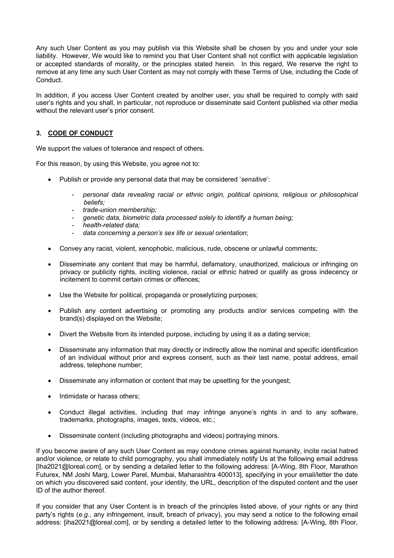Any such User Content as you may publish via this Website shall be chosen by you and under your sole liability. However, We would like to remind you that User Content shall not conflict with applicable legislation or accepted standards of morality, or the principles stated herein. In this regard, We reserve the right to remove at any time any such User Content as may not comply with these Terms of Use, including the Code of Conduct.

In addition, if you access User Content created by another user, you shall be required to comply with said user's rights and you shall, in particular, not reproduce or disseminate said Content published via other media without the relevant user's prior consent.

# **3. CODE OF CONDUCT**

We support the values of tolerance and respect of others.

For this reason, by using this Website, you agree not to:

- Publish or provide any personal data that may be considered '*sensitive*':
	- *personal data revealing racial or ethnic origin, political opinions, religious or philosophical beliefs;*
	- *trade-union membership;*
	- *genetic data, biometric data processed solely to identify a human being;*
	- *health-related data;*
	- *data concerning a person's sex life or sexual orientation*;
- Convey any racist, violent, xenophobic, malicious, rude, obscene or unlawful comments;
- Disseminate any content that may be harmful, defamatory, unauthorized, malicious or infringing on privacy or publicity rights, inciting violence, racial or ethnic hatred or qualify as gross indecency or incitement to commit certain crimes or offences;
- Use the Website for political, propaganda or proselytizing purposes;
- Publish any content advertising or promoting any products and/or services competing with the brand(s) displayed on the Website;
- Divert the Website from its intended purpose, including by using it as a dating service;
- Disseminate any information that may directly or indirectly allow the nominal and specific identification of an individual without prior and express consent, such as their last name, postal address, email address, telephone number;
- Disseminate any information or content that may be upsetting for the youngest;
- Intimidate or harass others;
- Conduct illegal activities, including that may infringe anyone's rights in and to any software, trademarks, photographs, images, texts, videos, etc.;
- Disseminate content (including photographs and videos) portraying minors.

If you become aware of any such User Content as may condone crimes against humanity, incite racial hatred and/or violence, or relate to child pornography, you shall immediately notify Us at the following email address [Iha2021@loreal.com], or by sending a detailed letter to the following address: [A-Wing, 8th Floor, Marathon Futurex, NM Joshi Marg, Lower Parel, Mumbai, Maharashtra 400013], specifying in your email/letter the date on which you discovered said content, your identity, the URL, description of the disputed content and the user ID of the author thereof.

If you consider that any User Content is in breach of the principles listed above, of your rights or any third party's rights (*e.g*., any infringement, insult, breach of privacy), you may send a notice to the following email address: [iha2021@loreal.com], or by sending a detailed letter to the following address: [A-Wing, 8th Floor,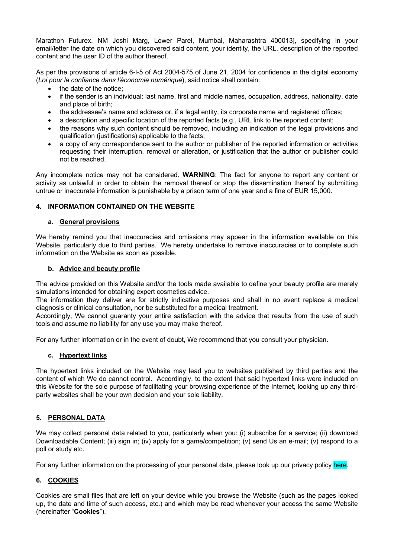Marathon Futurex, NM Joshi Marg, Lower Parel, Mumbai, Maharashtra 400013], specifying in your email/letter the date on which you discovered said content, your identity, the URL, description of the reported content and the user ID of the author thereof.

As per the provisions of article 6-I-5 of Act 2004-575 of June 21, 2004 for confidence in the digital economy (*Loi pour la confiance dans l'économie numérique*), said notice shall contain:

- the date of the notice:
- if the sender is an individual: last name, first and middle names, occupation, address, nationality, date and place of birth;
- the addressee's name and address or, if a legal entity, its corporate name and registered offices;
- a description and specific location of the reported facts (e.g., URL link to the reported content;
- the reasons why such content should be removed, including an indication of the legal provisions and qualification (justifications) applicable to the facts;
- a copy of any correspondence sent to the author or publisher of the reported information or activities requesting their interruption, removal or alteration, or justification that the author or publisher could not be reached.

Any incomplete notice may not be considered. **WARNING**: The fact for anyone to report any content or activity as unlawful in order to obtain the removal thereof or stop the dissemination thereof by submitting untrue or inaccurate information is punishable by a prison term of one year and a fine of EUR 15,000.

## **4. INFORMATION CONTAINED ON THE WEBSITE**

#### **a. General provisions**

We hereby remind you that inaccuracies and omissions may appear in the information available on this Website, particularly due to third parties. We hereby undertake to remove inaccuracies or to complete such information on the Website as soon as possible.

#### **b. Advice and beauty profile**

The advice provided on this Website and/or the tools made available to define your beauty profile are merely simulations intended for obtaining expert cosmetics advice.

The information they deliver are for strictly indicative purposes and shall in no event replace a medical diagnosis or clinical consultation, nor be substituted for a medical treatment.

Accordingly, We cannot guaranty your entire satisfaction with the advice that results from the use of such tools and assume no liability for any use you may make thereof.

For any further information or in the event of doubt, We recommend that you consult your physician.

## **c. Hypertext links**

The hypertext links included on the Website may lead you to websites published by third parties and the content of which We do cannot control. Accordingly, to the extent that said hypertext links were included on this Website for the sole purpose of facilitating your browsing experience of the Internet, looking up any thirdparty websites shall be your own decision and your sole liability.

## **5. PERSONAL DATA**

We may collect personal data related to you, particularly when you: (i) subscribe for a service; (ii) download Downloadable Content; (iii) sign in; (iv) apply for a game/competition; (v) send Us an e-mail; (v) respond to a poll or study etc.

For any further information on the processing of your personal data, please look up our privacy policy here.

## **6. COOKIES**

Cookies are small files that are left on your device while you browse the Website (such as the pages looked up, the date and time of such access, etc.) and which may be read whenever your access the same Website (hereinafter "**Cookies**").